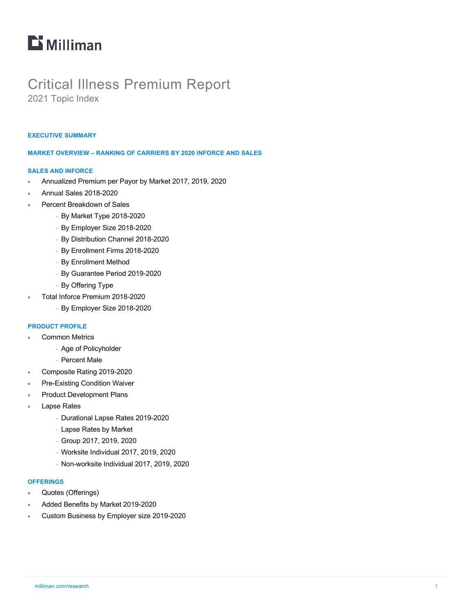# $\mathbf{D}$  Milliman

# Critical Illness Premium Report

2021 Topic Index

#### **EXECUTIVE SUMMARY**

#### **MARKET OVERVIEW – RANKING OF CARRIERS BY 2020 INFORCE AND SALES**

#### **SALES AND INFORCE**

- ¡ Annualized Premium per Payor by Market 2017, 2019, 2020
- ¡ Annual Sales 2018-2020
- Percent Breakdown of Sales
	- <sup>−</sup> By Market Type 2018-2020
	- <sup>−</sup> By Employer Size 2018-2020
	- <sup>−</sup> By Distribution Channel 2018-2020
	- <sup>−</sup> By Enrollment Firms 2018-2020
	- <sup>−</sup> By Enrollment Method
	- <sup>−</sup> By Guarantee Period 2019-2020
	- <sup>−</sup> By Offering Type
- ¡ Total Inforce Premium 2018-2020
	- <sup>−</sup> By Employer Size 2018-2020

#### **PRODUCT PROFILE**

- **Common Metrics** 
	- <sup>−</sup> Age of Policyholder
	- <sup>−</sup> Percent Male
- ¡ Composite Rating 2019-2020
- Pre-Existing Condition Waiver
- Product Development Plans
- **Lapse Rates** 
	- <sup>−</sup> Durational Lapse Rates 2019-2020
	- <sup>−</sup> Lapse Rates by Market
	- <sup>−</sup> Group 2017, 2019, 2020
	- <sup>−</sup> Worksite Individual 2017, 2019, 2020
	- <sup>−</sup> Non-worksite Individual 2017, 2019, 2020

#### **OFFERINGS**

- Quotes (Offerings)
- Added Benefits by Market 2019-2020
- ¡ Custom Business by Employer size 2019-2020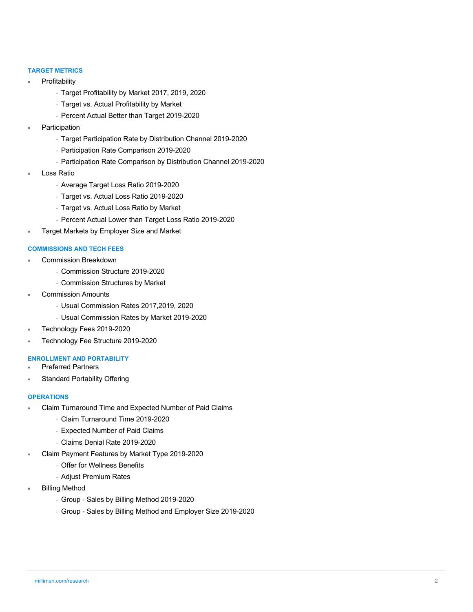#### **TARGET METRICS**

- **Profitability** 
	- <sup>−</sup> Target Profitability by Market 2017, 2019, 2020
	- <sup>−</sup> Target vs. Actual Profitability by Market
	- <sup>−</sup> Percent Actual Better than Target 2019-2020
- **Participation** 
	- <sup>−</sup> Target Participation Rate by Distribution Channel 2019-2020
	- <sup>−</sup> Participation Rate Comparison 2019-2020
	- <sup>−</sup> Participation Rate Comparison by Distribution Channel 2019-2020
- **Loss Ratio** 
	- <sup>−</sup> Average Target Loss Ratio 2019-2020
	- <sup>−</sup> Target vs. Actual Loss Ratio 2019-2020
	- <sup>−</sup> Target vs. Actual Loss Ratio by Market
	- <sup>−</sup> Percent Actual Lower than Target Loss Ratio 2019-2020
- Target Markets by Employer Size and Market

#### **COMMISSIONS AND TECH FEES**

- Commission Breakdown
	- <sup>−</sup> Commission Structure 2019-2020
	- <sup>−</sup> Commission Structures by Market
- **Commission Amounts** 
	- <sup>−</sup> Usual Commission Rates 2017,2019, 2020
	- <sup>−</sup> Usual Commission Rates by Market 2019-2020
- ¡ Technology Fees 2019-2020
- Technology Fee Structure 2019-2020

# **ENROLLMENT AND PORTABILITY**

- **Preferred Partners**
- Standard Portability Offering

#### **OPERATIONS**

- Claim Turnaround Time and Expected Number of Paid Claims
	- <sup>−</sup> Claim Turnaround Time 2019-2020
	- <sup>−</sup> Expected Number of Paid Claims
	- <sup>−</sup> Claims Denial Rate 2019-2020
- Claim Payment Features by Market Type 2019-2020
	- <sup>−</sup> Offer for Wellness Benefits
	- <sup>−</sup> Adjust Premium Rates
- **Billing Method** 
	- <sup>−</sup> Group Sales by Billing Method 2019-2020
	- <sup>−</sup> Group Sales by Billing Method and Employer Size 2019-2020